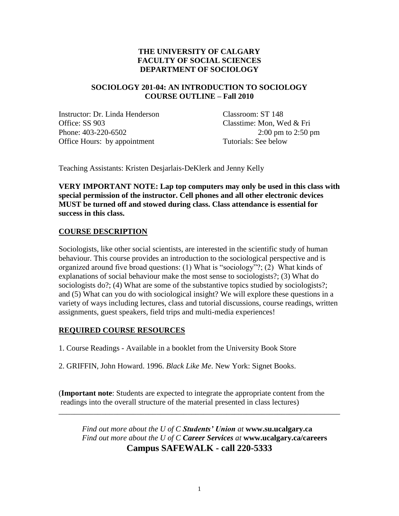# **THE UNIVERSITY OF CALGARY FACULTY OF SOCIAL SCIENCES DEPARTMENT OF SOCIOLOGY**

# **SOCIOLOGY 201-04: AN INTRODUCTION TO SOCIOLOGY COURSE OUTLINE – Fall 2010**

Instructor: Dr. Linda Henderson Classroom: ST 148 Office: SS 903 Classtime: Mon, Wed & Fri Phone: 403-220-6502 2:00 pm to 2:50 pm Office Hours: by appointment Tutorials: See below

Teaching Assistants: Kristen Desjarlais-DeKlerk and Jenny Kelly

**VERY IMPORTANT NOTE: Lap top computers may only be used in this class with special permission of the instructor. Cell phones and all other electronic devices MUST be turned off and stowed during class. Class attendance is essential for success in this class.**

# **COURSE DESCRIPTION**

Sociologists, like other social scientists, are interested in the scientific study of human behaviour. This course provides an introduction to the sociological perspective and is organized around five broad questions: (1) What is "sociology"?; (2) What kinds of explanations of social behaviour make the most sense to sociologists?; (3) What do sociologists do?; (4) What are some of the substantive topics studied by sociologists?; and (5) What can you do with sociological insight? We will explore these questions in a variety of ways including lectures, class and tutorial discussions, course readings, written assignments, guest speakers, field trips and multi-media experiences!

# **REQUIRED COURSE RESOURCES**

1. Course Readings - Available in a booklet from the University Book Store

2. GRIFFIN, John Howard. 1996. *Black Like Me*. New York: Signet Books.

(**Important note**: Students are expected to integrate the appropriate content from the readings into the overall structure of the material presented in class lectures)

\_\_\_\_\_\_\_\_\_\_\_\_\_\_\_\_\_\_\_\_\_\_\_\_\_\_\_\_\_\_\_\_\_\_\_\_\_\_\_\_\_\_\_\_\_\_\_\_\_\_\_\_\_\_\_\_\_\_\_\_\_\_\_\_\_\_\_\_\_\_\_\_

*Find out more about the U of C Students' Union at* **www.su.ucalgary.ca** *Find out more about the U of C Career Services at* **www.ucalgary.ca/careers Campus SAFEWALK - call 220-5333**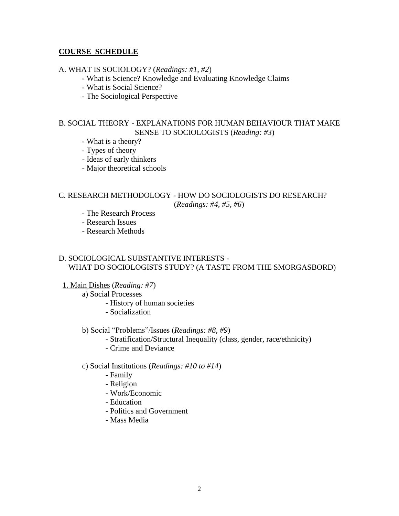## **COURSE SCHEDULE**

### A. WHAT IS SOCIOLOGY? (*Readings: #1, #2*)

- What is Science? Knowledge and Evaluating Knowledge Claims
- What is Social Science?
- The Sociological Perspective

## B. SOCIAL THEORY - EXPLANATIONS FOR HUMAN BEHAVIOUR THAT MAKE SENSE TO SOCIOLOGISTS (*Reading: #3*)

- What is a theory?
- Types of theory
- Ideas of early thinkers
- Major theoretical schools

### C. RESEARCH METHODOLOGY - HOW DO SOCIOLOGISTS DO RESEARCH? (*Readings: #4, #5, #6*)

- The Research Process
- Research Issues
- Research Methods

## D. SOCIOLOGICAL SUBSTANTIVE INTERESTS - WHAT DO SOCIOLOGISTS STUDY? (A TASTE FROM THE SMORGASBORD)

- 1. Main Dishes (*Reading: #7*)
	- a) Social Processes
		- History of human societies
		- Socialization
	- b) Social "Problems"/Issues (*Readings: #8, #9*)
		- Stratification/Structural Inequality (class, gender, race/ethnicity)
		- Crime and Deviance

### c) Social Institutions (*Readings: #10 to #14*)

- Family
- Religion
- Work/Economic
- Education
- Politics and Government
- Mass Media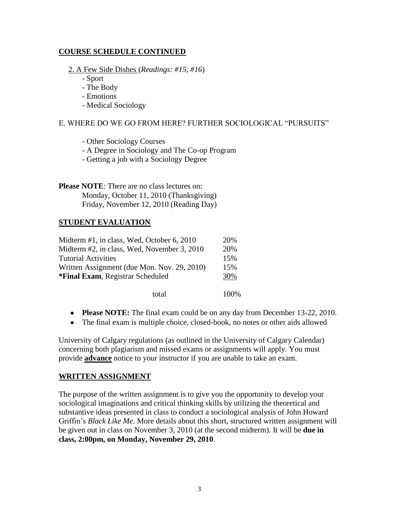# **COURSE SCHEDULE CONTINUED**

2. A Few Side Dishes (*Readings: #15, #16*)

- Sport
- The Body
- Emotions
- Medical Sociology

# E. WHERE DO WE GO FROM HERE? FURTHER SOCIOLOGICAL "PURSUITS"

- Other Sociology Courses

- A Degree in Sociology and The Co-op Program
- Getting a job with a Sociology Degree

**Please NOTE**: There are no class lectures on: Monday, October 11, 2010 (Thanksgiving) Friday, November 12, 2010 (Reading Day)

# **STUDENT EVALUATION**

| Midterm #1, in class, Wed, October 6, 2010  | 20%  |
|---------------------------------------------|------|
| Midterm #2, in class, Wed, November 3, 2010 | 20%  |
| <b>Tutorial Activities</b>                  | 15%  |
| Written Assignment (due Mon. Nov. 29, 2010) | 15%  |
| *Final Exam, Registrar Scheduled            | 30%  |
| total                                       | 100% |

- **Please NOTE:** The final exam could be on any day from December 13-22, 2010.
- The final exam is multiple choice, closed-book, no notes or other aids allowed

University of Calgary regulations (as outlined in the University of Calgary Calendar) concerning both plagiarism and missed exams or assignments will apply. You must provide **advance** notice to your instructor if you are unable to take an exam.

## **WRITTEN ASSIGNMENT**

The purpose of the written assignment is to give you the opportunity to develop your sociological imaginations and critical thinking skills by utilizing the theoretical and substantive ideas presented in class to conduct a sociological analysis of John Howard Griffin's *Black Like Me*. More details about this short, structured written assignment will be given out in class on November 3, 2010 (at the second midterm). It will be **due in class, 2:00pm, on Monday, November 29, 2010**.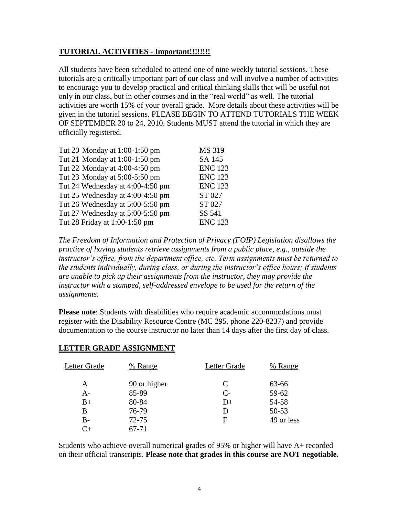## **TUTORIAL ACTIVITIES - Important!!!!!!!!**

All students have been scheduled to attend one of nine weekly tutorial sessions. These tutorials are a critically important part of our class and will involve a number of activities to encourage you to develop practical and critical thinking skills that will be useful not only in our class, but in other courses and in the "real world" as well. The tutorial activities are worth 15% of your overall grade. More details about these activities will be given in the tutorial sessions. PLEASE BEGIN TO ATTEND TUTORIALS THE WEEK OF SEPTEMBER 20 to 24, 2010. Students MUST attend the tutorial in which they are officially registered.

| MS 319         |
|----------------|
| SA 145         |
| <b>ENC 123</b> |
| <b>ENC 123</b> |
| <b>ENC 123</b> |
| ST 027         |
| ST 027         |
| SS 541         |
| <b>ENC 123</b> |
|                |

*The Freedom of Information and Protection of Privacy (FOIP) Legislation disallows the practice of having students retrieve assignments from a public place, e.g., outside the instructor's office, from the department office, etc. Term assignments must be returned to the students individually, during class, or during the instructor's office hours; if students are unable to pick up their assignments from the instructor, they may provide the instructor with a stamped, self-addressed envelope to be used for the return of the assignments.*

**Please note**: Students with disabilities who require academic accommodations must register with the Disability Resource Centre (MC 295, phone 220-8237) and provide documentation to the course instructor no later than 14 days after the first day of class.

| Letter Grade | % Range      | Letter Grade | % Range    |
|--------------|--------------|--------------|------------|
| A            | 90 or higher | C            | 63-66      |
| $A -$        | 85-89        | $C-$         | 59-62      |
| $B+$         | 80-84        | $D+$         | 54-58      |
| B            | 76-79        |              | $50 - 53$  |
| $B-$         | $72 - 75$    | F            | 49 or less |
| ~⊥           | 67-71        |              |            |

## **LETTER GRADE ASSIGNMENT**

Students who achieve overall numerical grades of 95% or higher will have A+ recorded on their official transcripts. **Please note that grades in this course are NOT negotiable.**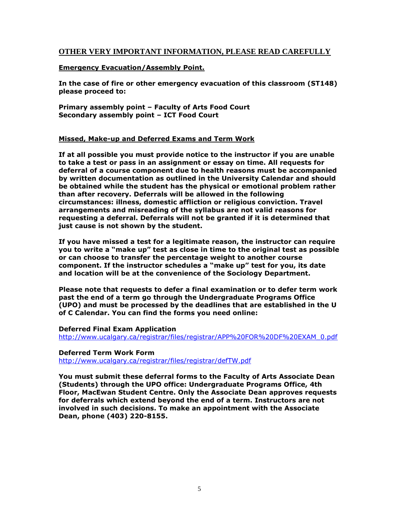## **OTHER VERY IMPORTANT INFORMATION, PLEASE READ CAREFULLY**

### **Emergency Evacuation/Assembly Point.**

**In the case of fire or other emergency evacuation of this classroom (ST148) please proceed to:**

**Primary assembly point – Faculty of Arts Food Court Secondary assembly point – ICT Food Court**

### **Missed, Make-up and Deferred Exams and Term Work**

**If at all possible you must provide notice to the instructor if you are unable to take a test or pass in an assignment or essay on time. All requests for deferral of a course component due to health reasons must be accompanied by written documentation as outlined in the University Calendar and should be obtained while the student has the physical or emotional problem rather than after recovery. Deferrals will be allowed in the following circumstances: illness, domestic affliction or religious conviction. Travel arrangements and misreading of the syllabus are not valid reasons for requesting a deferral. Deferrals will not be granted if it is determined that just cause is not shown by the student.**

**If you have missed a test for a legitimate reason, the instructor can require**  you to write a "make up" test as close in time to the original test as possible **or can choose to transfer the percentage weight to another course**  component. If the instructor schedules a "make up" test for you, its date **and location will be at the convenience of the Sociology Department.**

**Please note that requests to defer a final examination or to defer term work past the end of a term go through the Undergraduate Programs Office (UPO) and must be processed by the deadlines that are established in the U of C Calendar. You can find the forms you need online:**

#### **Deferred Final Exam Application**

[http://www.ucalgary.ca/registrar/files/registrar/APP%20FOR%20DF%20EXAM\\_0.pdf](http://www.ucalgary.ca/registrar/files/registrar/APP%20FOR%20DF%20EXAM_0.pdf)

#### **Deferred Term Work Form** <http://www.ucalgary.ca/registrar/files/registrar/defTW.pdf>

**You must submit these deferral forms to the Faculty of Arts Associate Dean (Students) through the UPO office: Undergraduate Programs Office, 4th Floor, MacEwan Student Centre. Only the Associate Dean approves requests for deferrals which extend beyond the end of a term. Instructors are not involved in such decisions. To make an appointment with the Associate Dean, phone (403) 220-8155.**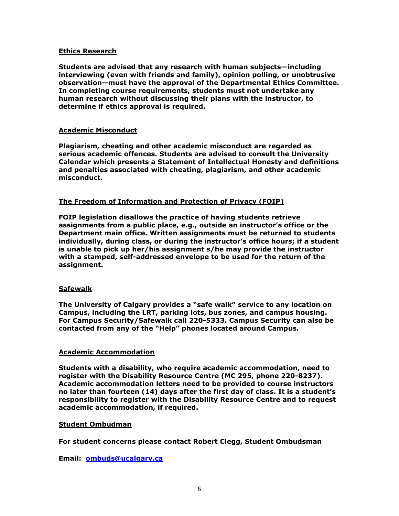### **Ethics Research**

**Students are advised that any research with human subjects—including interviewing (even with friends and family), opinion polling, or unobtrusive observation--must have the approval of the Departmental Ethics Committee. In completing course requirements, students must not undertake any human research without discussing their plans with the instructor, to determine if ethics approval is required.**

### **Academic Misconduct**

**Plagiarism, cheating and other academic misconduct are regarded as serious academic offences. Students are advised to consult the University Calendar which presents a Statement of Intellectual Honesty and definitions and penalties associated with cheating, plagiarism, and other academic misconduct.**

### **The Freedom of Information and Protection of Privacy (FOIP)**

**FOIP legislation disallows the practice of having students retrieve assignments from a public place, e.g., outside an instructor's office or the Department main office. Written assignments must be returned to students individually, during class, or during the instructor's office hours; if a student is unable to pick up her/his assignment s/he may provide the instructor with a stamped, self-addressed envelope to be used for the return of the assignment.**

#### **Safewalk**

The University of Calgary provides a "safe walk" service to any location on **Campus, including the LRT, parking lots, bus zones, and campus housing. For Campus Security/Safewalk call 220-5333. Campus Security can also be contacted from any of the ―Help‖ phones located around Campus.**

#### **Academic Accommodation**

**Students with a disability, who require academic accommodation, need to register with the Disability Resource Centre (MC 295, phone 220-8237). Academic accommodation letters need to be provided to course instructors no later than fourteen (14) days after the first day of class. It is a student's responsibility to register with the Disability Resource Centre and to request academic accommodation, if required.**

#### **Student Ombudman**

**For student concerns please contact Robert Clegg, Student Ombudsman**

**Email: [ombuds@ucalgary.ca](mailto:ombuds@ucalgary.ca)**